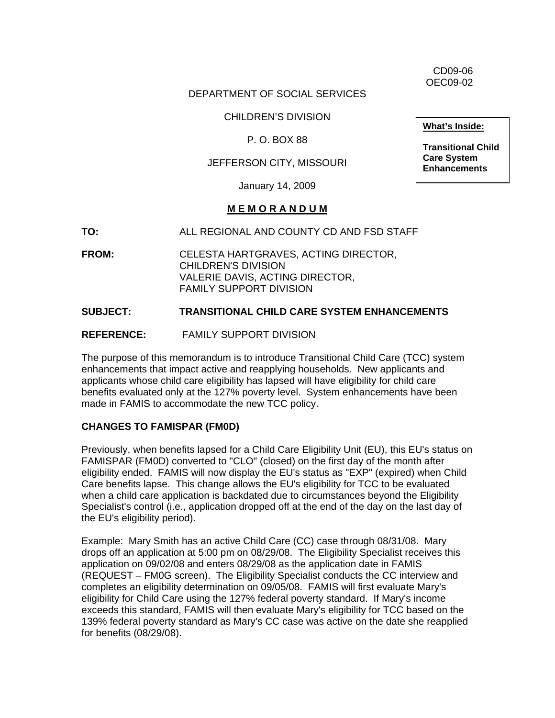CD09-06 OEC09-02

## DEPARTMENT OF SOCIAL SERVICES

CHILDREN'S DIVISION

P. O. BOX 88

## JEFFERSON CITY, MISSOURI

January 14, 2009

#### **M E M O R A N D U M**

**TO:** ALL REGIONAL AND COUNTY CD AND FSD STAFF

**FROM:** CELESTA HARTGRAVES, ACTING DIRECTOR, CHILDREN'S DIVISION VALERIE DAVIS, ACTING DIRECTOR, FAMILY SUPPORT DIVISION

#### **SUBJECT: TRANSITIONAL CHILD CARE SYSTEM ENHANCEMENTS**

**REFERENCE:** FAMILY SUPPORT DIVISION

The purpose of this memorandum is to introduce Transitional Child Care (TCC) system enhancements that impact active and reapplying households. New applicants and applicants whose child care eligibility has lapsed will have eligibility for child care benefits evaluated only at the 127% poverty level. System enhancements have been made in FAMIS to accommodate the new TCC policy.

## **CHANGES TO FAMISPAR (FM0D)**

Previously, when benefits lapsed for a Child Care Eligibility Unit (EU), this EU's status on FAMISPAR (FM0D) converted to "CLO" (closed) on the first day of the month after eligibility ended. FAMIS will now display the EU's status as "EXP" (expired) when Child Care benefits lapse. This change allows the EU's eligibility for TCC to be evaluated when a child care application is backdated due to circumstances beyond the Eligibility Specialist's control (i.e., application dropped off at the end of the day on the last day of the EU's eligibility period).

Example: Mary Smith has an active Child Care (CC) case through 08/31/08. Mary drops off an application at 5:00 pm on 08/29/08. The Eligibility Specialist receives this application on 09/02/08 and enters 08/29/08 as the application date in FAMIS (REQUEST – FM0G screen). The Eligibility Specialist conducts the CC interview and completes an eligibility determination on 09/05/08. FAMIS will first evaluate Mary's eligibility for Child Care using the 127% federal poverty standard. If Mary's income exceeds this standard, FAMIS will then evaluate Mary's eligibility for TCC based on the 139% federal poverty standard as Mary's CC case was active on the date she reapplied for benefits (08/29/08).

**What's Inside:**

**Transitional Child Care System Enhancements**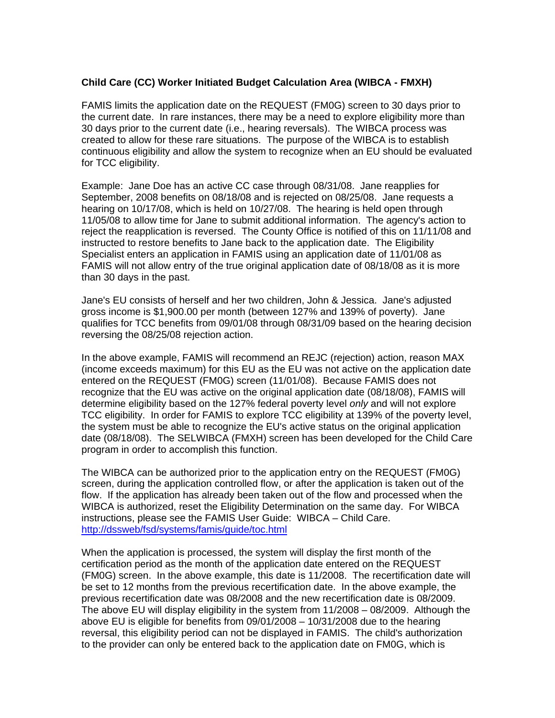## **Child Care (CC) Worker Initiated Budget Calculation Area (WIBCA - FMXH)**

FAMIS limits the application date on the REQUEST (FM0G) screen to 30 days prior to the current date. In rare instances, there may be a need to explore eligibility more than 30 days prior to the current date (i.e., hearing reversals). The WIBCA process was created to allow for these rare situations. The purpose of the WIBCA is to establish continuous eligibility and allow the system to recognize when an EU should be evaluated for TCC eligibility.

Example: Jane Doe has an active CC case through 08/31/08. Jane reapplies for September, 2008 benefits on 08/18/08 and is rejected on 08/25/08. Jane requests a hearing on 10/17/08, which is held on 10/27/08. The hearing is held open through 11/05/08 to allow time for Jane to submit additional information. The agency's action to reject the reapplication is reversed. The County Office is notified of this on 11/11/08 and instructed to restore benefits to Jane back to the application date. The Eligibility Specialist enters an application in FAMIS using an application date of 11/01/08 as FAMIS will not allow entry of the true original application date of 08/18/08 as it is more than 30 days in the past.

Jane's EU consists of herself and her two children, John & Jessica. Jane's adjusted gross income is \$1,900.00 per month (between 127% and 139% of poverty). Jane qualifies for TCC benefits from 09/01/08 through 08/31/09 based on the hearing decision reversing the 08/25/08 rejection action.

In the above example, FAMIS will recommend an REJC (rejection) action, reason MAX (income exceeds maximum) for this EU as the EU was not active on the application date entered on the REQUEST (FM0G) screen (11/01/08). Because FAMIS does not recognize that the EU was active on the original application date (08/18/08), FAMIS will determine eligibility based on the 127% federal poverty level *only* and will not explore TCC eligibility. In order for FAMIS to explore TCC eligibility at 139% of the poverty level, the system must be able to recognize the EU's active status on the original application date (08/18/08). The SELWIBCA (FMXH) screen has been developed for the Child Care program in order to accomplish this function.

The WIBCA can be authorized prior to the application entry on the REQUEST (FM0G) screen, during the application controlled flow, or after the application is taken out of the flow. If the application has already been taken out of the flow and processed when the WIBCA is authorized, reset the Eligibility Determination on the same day. For WIBCA instructions, please see the FAMIS User Guide: WIBCA – Child Care. <http://dssweb/fsd/systems/famis/guide/toc.html>

When the application is processed, the system will display the first month of the certification period as the month of the application date entered on the REQUEST (FM0G) screen. In the above example, this date is 11/2008. The recertification date will be set to 12 months from the previous recertification date. In the above example, the previous recertification date was 08/2008 and the new recertification date is 08/2009. The above EU will display eligibility in the system from 11/2008 – 08/2009. Although the above EU is eligible for benefits from 09/01/2008 – 10/31/2008 due to the hearing reversal, this eligibility period can not be displayed in FAMIS. The child's authorization to the provider can only be entered back to the application date on FM0G, which is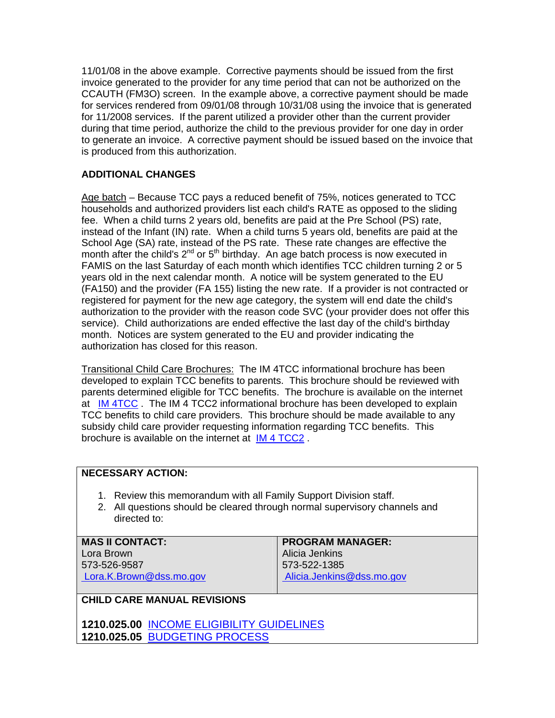11/01/08 in the above example. Corrective payments should be issued from the first invoice generated to the provider for any time period that can not be authorized on the CCAUTH (FM3O) screen. In the example above, a corrective payment should be made for services rendered from 09/01/08 through 10/31/08 using the invoice that is generated for 11/2008 services. If the parent utilized a provider other than the current provider during that time period, authorize the child to the previous provider for one day in order to generate an invoice. A corrective payment should be issued based on the invoice that is produced from this authorization.

## **ADDITIONAL CHANGES**

Age batch – Because TCC pays a reduced benefit of 75%, notices generated to TCC households and authorized providers list each child's RATE as opposed to the sliding fee. When a child turns 2 years old, benefits are paid at the Pre School (PS) rate, instead of the Infant (IN) rate. When a child turns 5 years old, benefits are paid at the School Age (SA) rate, instead of the PS rate. These rate changes are effective the month after the child's  $2^{nd}$  or  $5^{th}$  birthday. An age batch process is now executed in FAMIS on the last Saturday of each month which identifies TCC children turning 2 or 5 years old in the next calendar month. A notice will be system generated to the EU (FA150) and the provider (FA 155) listing the new rate. If a provider is not contracted or registered for payment for the new age category, the system will end date the child's authorization to the provider with the reason code SVC (your provider does not offer this service). Child authorizations are ended effective the last day of the child's birthday month. Notices are system generated to the EU and provider indicating the authorization has closed for this reason.

Transitional Child Care Brochures: The IM 4TCC informational brochure has been developed to explain TCC benefits to parents. This brochure should be reviewed with parents determined eligible for TCC benefits. The brochure is available on the internet at [IM 4TCC](http://www.dss.mo.gov/cd/info/forms/pdf/im4tcc1.pdf). The IM 4 TCC2 informational brochure has been developed to explain TCC benefits to child care providers. This brochure should be made available to any subsidy child care provider requesting information regarding TCC benefits. This brochure is available on the internet at [IM 4 TCC2](http://www.dss.mo.gov/cd/info/forms/pdf/im4tcc2.pdf) .

## **NECESSARY ACTION:**

- 1. Review this memorandum with all Family Support Division staff.
- 2. All questions should be cleared through normal supervisory channels and directed to:

| <b>MAS II CONTACT:</b>  | <b>PROGRAM MANAGER:</b>   |
|-------------------------|---------------------------|
| Lora Brown              | Alicia Jenkins            |
| 573-526-9587            | 573-522-1385              |
| Lora.K.Brown@dss.mo.gov | Alicia.Jenkins@dss.mo.gov |
|                         |                           |

## **CHILD CARE MANUAL REVISIONS**

**1210.025.00** [INCOME ELIGIBILITY GUIDELINES](http://www.dss.mo.gov/fsd/iman/chldcare/1210-025-00_1210-025-05.html) **1210.025.05** [BUDGETING PROCESS](http://www.dss.mo.gov/fsd/iman/chldcare/1210-025-00_1210-025-05.html#1210.025.05)